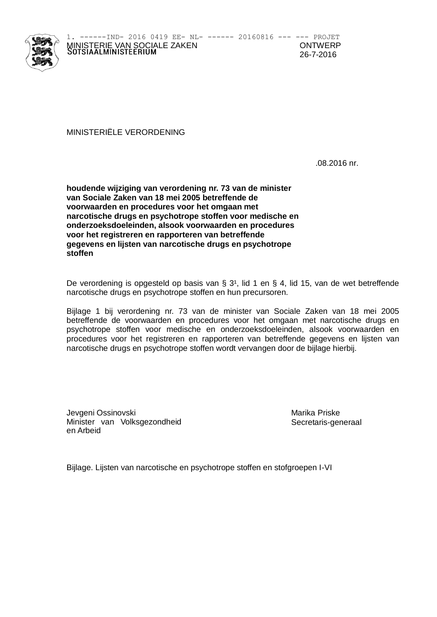

------IND- 2016 0419 EE- NL- ------ 20160816 --- --- PROJET MINISTERIE VAN SOCIALE ZAKEN<br>SOTSIAALMINISTEERIUM

MINISTERIËLE VERORDENING

.08.2016 nr.

**houdende wijziging van verordening nr. 73 van de minister van Sociale Zaken van 18 mei 2005 betreffende de voorwaarden en procedures voor het omgaan met narcotische drugs en psychotrope stoffen voor medische en onderzoeksdoeleinden, alsook voorwaarden en procedures voor het registreren en rapporteren van betreffende gegevens en lijsten van narcotische drugs en psychotrope stoffen**

De verordening is opgesteld op basis van § 3<sup>1</sup>, lid 1 en § 4, lid 15, van de wet betreffende narcotische drugs en psychotrope stoffen en hun precursoren.

Bijlage 1 bij verordening nr. 73 van de minister van Sociale Zaken van 18 mei 2005 betreffende de voorwaarden en procedures voor het omgaan met narcotische drugs en psychotrope stoffen voor medische en onderzoeksdoeleinden, alsook voorwaarden en procedures voor het registreren en rapporteren van betreffende gegevens en lijsten van narcotische drugs en psychotrope stoffen wordt vervangen door de bijlage hierbij.

Jevgeni Ossinovski Narika Priske Minister van Volksgezondheid en Arbeid

Secretaris-generaal

Bijlage. Lijsten van narcotische en psychotrope stoffen en stofgroepen I-VI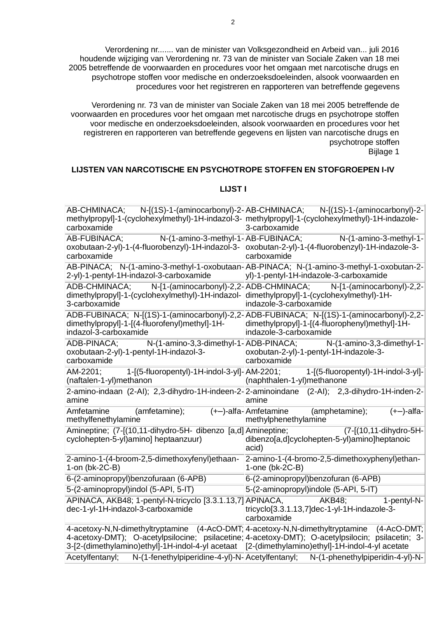Verordening nr....... van de minister van Volksgezondheid en Arbeid van... juli 2016 houdende wijziging van Verordening nr. 73 van de minister van Sociale Zaken van 18 mei 2005 betreffende de voorwaarden en procedures voor het omgaan met narcotische drugs en psychotrope stoffen voor medische en onderzoeksdoeleinden, alsook voorwaarden en procedures voor het registreren en rapporteren van betreffende gegevens

Verordening nr. 73 van de minister van Sociale Zaken van 18 mei 2005 betreffende de voorwaarden en procedures voor het omgaan met narcotische drugs en psychotrope stoffen voor medische en onderzoeksdoeleinden, alsook voorwaarden en procedures voor het registreren en rapporteren van betreffende gegevens en lijsten van narcotische drugs en psychotrope stoffen Bijlage 1

#### **LIJSTEN VAN NARCOTISCHE EN PSYCHOTROPE STOFFEN EN STOFGROEPEN I-IV**

#### **LIJST I**

| N-[(1S)-1-(aminocarbonyl)-2-AB-CHMINACA;<br>AB-CHMINACA;<br>methylpropyl]-1-(cyclohexylmethyl)-1H-indazol-3- methylpropyl]-1-(cyclohexylmethyl)-1H-indazole-<br>carboxamide      | N-[(1S)-1-(aminocarbonyl)-2-<br>3-carboxamide                                                                                                                        |
|----------------------------------------------------------------------------------------------------------------------------------------------------------------------------------|----------------------------------------------------------------------------------------------------------------------------------------------------------------------|
| N-(1-amino-3-methyl-1-AB-FUBINACA;<br>AB-FUBINACA:<br>oxobutaan-2-yl)-1-(4-fluorobenzyl)-1H-indazol-3- oxobutan-2-yl)-1-(4-fluorobenzyl)-1H-indazole-3-<br>carboxamide           | N-(1-amino-3-methyl-1-<br>carboxamide                                                                                                                                |
| 2-yl)-1-pentyl-1H-indazol-3-carboxamide                                                                                                                                          | AB-PINACA; N-(1-amino-3-methyl-1-oxobutaan-AB-PINACA; N-(1-amino-3-methyl-1-oxobutan-2-<br>yl)-1-pentyl-1H-indazole-3-carboxamide                                    |
| N-[1-(aminocarbonyl)-2,2-ADB-CHMINACA;<br>ADB-CHMINACA;<br>dimethylpropyl]-1-(cyclohexylmethyl)-1H-indazol- dimethylpropyl]-1-(cyclohexylmethyl)-1H-<br>3-carboxamide            | N-[1-(aminocarbonyl)-2,2-<br>indazole-3-carboxamide                                                                                                                  |
| dimethylpropyl]-1-[(4-fluorofenyl)methyl]-1H-<br>indazol-3-carboxamide                                                                                                           | ADB-FUBINACA; N-[(1S)-1-(aminocarbonyl)-2,2-ADB-FUBINACA; N-[(1S)-1-(aminocarbonyl)-2,2-<br>dimethylpropyl]-1-[(4-fluorophenyl)methyl]-1H-<br>indazole-3-carboxamide |
| ADB-PINACA:<br>N-(1-amino-3,3-dimethyl-1-ADB-PINACA;<br>oxobutaan-2-yl)-1-pentyl-1H-indazol-3-<br>carboxamide                                                                    | N-(1-amino-3,3-dimethyl-1-<br>oxobutan-2-yl)-1-pentyl-1H-indazole-3-<br>carboxamide                                                                                  |
| 1-[(5-fluoropentyl)-1H-indol-3-yl]- AM-2201;<br>AM-2201;<br>(naftalen-1-yl)methanon                                                                                              | 1-[(5-fluoropentyl)-1H-indol-3-yl]-<br>(naphthalen-1-yl)methanone                                                                                                    |
| amine                                                                                                                                                                            | 2-amino-indaan (2-AI); 2,3-dihydro-1H-indeen-2-2-aminoindane (2-AI); 2,3-dihydro-1H-inden-2-<br>amine                                                                |
| Amfetamine<br>(amfetamine);<br>methylfenethylamine                                                                                                                               | $(+-)$ -alfa-Amfetamine<br>(amphetamine);<br>$(+-)$ -alfa-<br>methylphenethylamine                                                                                   |
| Amineptine; (7-[(10,11-dihydro-5H- dibenzo [a,d] Amineptine;<br>cyclohepten-5-yl)amino] heptaanzuur)                                                                             | (7-[(10,11-dihydro-5H-<br>dibenzo[a,d]cyclohepten-5-yl)amino]heptanoic<br>acid)                                                                                      |
| 2-amino-1-(4-broom-2,5-dimethoxyfenyl)ethaan-<br>1-on (bk-2C-B)                                                                                                                  | 2-amino-1-(4-bromo-2,5-dimethoxyphenyl)ethan-<br>1-one $(bk-2C-B)$                                                                                                   |
| 6-(2-aminopropyl)benzofuraan (6-APB)                                                                                                                                             | 6-(2-aminopropyl)benzofuran (6-APB)                                                                                                                                  |
| 5-(2-aminopropyl)indol (5-API, 5-IT)                                                                                                                                             | 5-(2-aminopropyl)indole (5-API, 5-IT)                                                                                                                                |
| APINACA, AKB48; 1-pentyl-N-tricyclo [3.3.1.13,7] APINACA,<br>dec-1-yl-1H-indazol-3-carboxamide                                                                                   | 1-pentyl-N-<br><b>AKB48:</b><br>tricyclo[3.3.1.13,7]dec-1-yl-1H-indazole-3-<br>carboxamide                                                                           |
| 4-acetoxy-N,N-dimethyltryptamine (4-AcO-DMT; 4-acetoxy-N,N-dimethyltryptamine<br>3-[2-(dimethylamino)ethyl]-1H-indol-4-yl acetaat [2-(dimethylamino)ethyl]-1H-indol-4-yl acetate | $(4-ACO-DMT)$<br>4-acetoxy-DMT); O-acetylpsilocine; psilacetine; 4-acetoxy-DMT); O-acetylpsilocin; psilacetin; 3-                                                    |
| N-(1-fenethylpiperidine-4-yl)-N-Acetylfentanyl;<br>Acetylfentanyl:                                                                                                               | N-(1-phenethylpiperidin-4-yl)-N-                                                                                                                                     |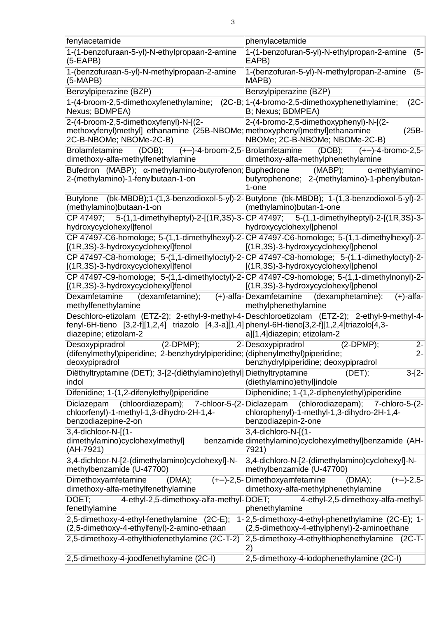| fenylacetamide                                                                                                                                  | phenylacetamide                                                                                                                      |
|-------------------------------------------------------------------------------------------------------------------------------------------------|--------------------------------------------------------------------------------------------------------------------------------------|
| 1-(1-benzofuraan-5-yl)-N-ethylpropaan-2-amine<br>$(5-EAPB)$                                                                                     | 1-(1-benzofuran-5-yl)-N-ethylpropan-2-amine<br>(5-<br>EAPB)                                                                          |
| 1-(benzofuraan-5-yl)-N-methylpropaan-2-amine<br>$(5-MAPB)$                                                                                      | 1-(benzofuran-5-yl)-N-methylpropan-2-amine<br>$(5 -$<br>MAPB)                                                                        |
| Benzylpiperazine (BZP)                                                                                                                          | Benzylpiperazine (BZP)                                                                                                               |
| 1-(4-broom-2,5-dimethoxyfenethylamine;<br>Nexus; BDMPEA)                                                                                        | (2C-B; 1-(4-bromo-2,5-dimethoxyphenethylamine;<br>$(2C -$<br>B; Nexus; BDMPEA)                                                       |
| 2-(4-broom-2,5-dimethoxyfenyl)-N-[(2-<br>methoxyfenyl)methyl] ethanamine (25B-NBOMe; methoxyphenyl)methyl]ethanamine<br>2C-B-NBOMe; NBOMe-2C-B) | 2-(4-bromo-2,5-dimethoxyphenyl)-N-[(2-<br>$(25B -$<br>NBOMe; 2C-B-NBOMe; NBOMe-2C-B)                                                 |
| (DOB);<br><b>Brolamfetamine</b><br>dimethoxy-alfa-methylfenethylamine                                                                           | $(DOB);$ $(+-)$ -4-bromo-2,5-<br>(+-)-4-broom-2,5-Brolamfetamine<br>dimethoxy-alfa-methylphenethylamine                              |
| Bufedron (MABP); α-methylamino-butyrofenon; Buphedrone<br>2-(methylamino)-1-fenylbutaan-1-on                                                    | (MABP);<br>α-methylamino-<br>butyrophenone; 2-(methylamino)-1-phenylbutan-<br>1-one                                                  |
| (methylamino) butaan-1-on                                                                                                                       | Butylone (bk-MBDB);1-(1,3-benzodioxol-5-yl)-2-Butylone (bk-MBDB); 1-(1,3-benzodioxol-5-yl)-2-<br>(methylamino) butan-1-one           |
| hydroxycyclohexyl]fenol                                                                                                                         | CP 47497; 5-(1,1-dimethylheptyl)-2-[(1R,3S)-3-CP 47497; 5-(1,1-dimethylheptyl)-2-[(1R,3S)-3-<br>hydroxycyclohexyl]phenol             |
| [(1R,3S)-3-hydroxycyclohexyl]fenol                                                                                                              | CP 47497-C6-homologe; 5-(1,1-dimethylhexyl)-2- CP 47497-C6-homologe; 5-(1,1-dimethylhexyl)-2-<br>[(1R,3S)-3-hydroxycyclohexyl]phenol |
| [(1R,3S)-3-hydroxycyclohexyl]fenol                                                                                                              | CP 47497-C8-homologe; 5-(1,1-dimethyloctyl)-2- CP 47497-C8-homologe; 5-(1,1-dimethyloctyl)-2-<br>[(1R,3S)-3-hydroxycyclohexyl]phenol |
| [(1R,3S)-3-hydroxycyclohexyl]fenol                                                                                                              | CP 47497-C9-homologe; 5-(1,1-dimethyloctyl)-2-CP 47497-C9-homologe; 5-(1,1-dimethylnonyl)-2-<br>[(1R,3S)-3-hydroxycyclohexyl]phenol  |
| Dexamfetamine<br>(dexamfetamine);<br>methylfenethylamine                                                                                        | (+)-alfa-Dexamfetamine<br>(dexamphetamine);<br>$(+)$ -alfa-<br>methylphenethylamine                                                  |
| fenyl-6H-tieno [3,2-f][1,2,4] triazolo [4,3-a][1,4] phenyl-6H-tieno[3,2-f][1,2,4]triazolo[4,3-<br>diazepine; etizolam-2                         | Deschloro-etizolam (ETZ-2); 2-ethyl-9-methyl-4-Deschloroetizolam (ETZ-2); 2-ethyl-9-methyl-4-<br>a][1,4]diazepin; etizolam-2         |
| $(2-DPMP);$<br>Desoxypipradrol<br>(difenylmethyl)piperidine; 2-benzhydrylpiperidine; (diphenylmethyl)piperidine;<br>deoxypipradrol              | 2- Desoxypipradrol<br>$(2-DPMP);$<br>$2 -$<br>$2 -$<br>benzhydrylpiperidine; deoxypipradrol                                          |
| Diëthyltryptamine (DET); 3-[2-(diëthylamino)ethyl] Diethyltryptamine<br>indol                                                                   | $3-[2-$<br>(DET);<br>(diethylamino) ethyl]indole                                                                                     |
| Difenidine; 1-(1,2-difenylethyl)piperidine                                                                                                      | Diphenidine; 1-(1,2-diphenylethyl)piperidine                                                                                         |
| (chloordiazepam); 7-chloor-5-(2-Diclazepam<br>Diclazepam<br>chloorfenyl)-1-methyl-1,3-dihydro-2H-1,4-<br>benzodiazepine-2-on                    | (chlorodiazepam); 7-chloro-5-(2-<br>chlorophenyl)-1-methyl-1,3-dihydro-2H-1,4-<br>benzodiazepin-2-one                                |
| 3,4-dichloor-N-[(1-<br>dimethylamino)cyclohexylmethyl]<br>(AH-7921)                                                                             | 3,4-dichloro-N-[(1-<br>benzamide dimethylamino)cyclohexylmethyl]benzamide (AH-<br>7921)                                              |
| 3,4-dichloor-N-[2-(dimethylamino)cyclohexyl]-N-<br>methylbenzamide (U-47700)                                                                    | 3,4-dichloro-N-[2-(dimethylamino)cyclohexyl]-N-<br>methylbenzamide (U-47700)                                                         |
| Dimethoxyamfetamine<br>(DMA);<br>dimethoxy-alfa-methylfenethylamine                                                                             | $(-)-2,5$<br>$(+-)$ -2,5-Dimethoxyamfetamine<br>(DMA);<br>dimethoxy-alfa-methylphenethylamine                                        |
|                                                                                                                                                 | 4-ethyl-2,5-dimethoxy-alfa-methyl-<br>phenethylamine                                                                                 |
| 4-ethyl-2,5-dimethoxy-alfa-methyl-DOET;<br>DOET;<br>fenethylamine                                                                               |                                                                                                                                      |
| 2,5-dimethoxy-4-ethyl-fenethylamine (2C-E);<br>(2,5-dimethoxy-4-ethylfenyl)-2-amino-ethaan                                                      | 1-2,5-dimethoxy-4-ethyl-phenethylamine (2C-E); 1-<br>(2,5-dimethoxy-4-ethylphenyl)-2-aminoethane                                     |
| 2,5-dimethoxy-4-ethylthiofenethylamine (2C-T-2)                                                                                                 | 2,5-dimethoxy-4-ethylthiophenethylamine (2C-T-<br>2)                                                                                 |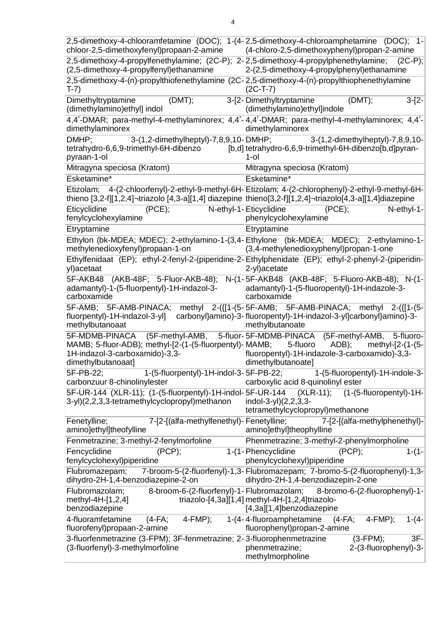| chloor-2,5-dimethoxyfenyl)propaan-2-amine                                                                                                                                | 2,5-dimethoxy-4-chlooramfetamine (DOC); 1-(4-2,5-dimethoxy-4-chloroamphetamine (DOC); 1-<br>(4-chloro-2,5-dimethoxyphenyl)propan-2-amine                |
|--------------------------------------------------------------------------------------------------------------------------------------------------------------------------|---------------------------------------------------------------------------------------------------------------------------------------------------------|
| 2,5-dimethoxy-4-propylfenethylamine; (2C-P); 2-2,5-dimethoxy-4-propylphenethylamine;<br>(2,5-dimethoxy-4-propylfenyl) ethanamine                                         | $(2C-P)$ ;<br>2-(2,5-dimethoxy-4-propylphenyl) ethanamine                                                                                               |
| 2,5-dimethoxy-4-(n)-propylthiofenethylamine (2C-2,5-dimethoxy-4-(n)-propylthiophenethylamine<br>T-7)                                                                     | $(2C-T-7)$                                                                                                                                              |
| (DMT);<br>Dimethyltryptamine<br>(dimethylamino) ethyl] indol                                                                                                             | 3-[2-Dimethyltryptamine<br>(DMT);<br>$3-[2-$<br>(dimethylamino) ethyl]indole                                                                            |
| dimethylaminorex                                                                                                                                                         | 4,4'-DMAR; para-methyl-4-methylaminorex; 4,4'-4,4'-DMAR; para-methyl-4-methylaminorex; 4,4'-<br>dimethylaminorex                                        |
| DMHP;<br>3-(1,2-dimethylheptyl)-7,8,9,10-DMHP;<br>tetrahydro-6,6,9-trimethyl-6H-dibenzo<br>pyraan-1-ol                                                                   | 3-(1,2-dimethylheptyl)-7,8,9,10-<br>[b,d] tetrahydro-6,6,9-trimethyl-6H-dibenzo[b,d]pyran-<br>1-ol                                                      |
| Mitragyna speciosa (Kratom)                                                                                                                                              | Mitragyna speciosa (Kratom)                                                                                                                             |
| Esketamine*                                                                                                                                                              | Esketamine*                                                                                                                                             |
| Etizolam;<br>thieno [3,2-f][1,2,4]¬triazolo [4,3-a][1,4] diazepine thieno[3,2-f][1,2,4]¬triazolo[4,3-a][1,4]diazepine                                                    | 4-(2-chloorfenyl)-2-ethyl-9-methyl-6H-Etizolam; 4-(2-chlorophenyl)-2-ethyl-9-methyl-6H-                                                                 |
| Eticyclidine<br>(PCE);<br>fenylcyclohexylamine                                                                                                                           | N-ethyl-1-Eticyclidine<br>$(PCE)$ ;<br>N-ethyl-1-<br>phenylcyclohexylamine                                                                              |
| Etryptamine                                                                                                                                                              | Etryptamine                                                                                                                                             |
| methylenedioxyfenyl)propaan-1-on                                                                                                                                         | Ethylon (bk-MDEA; MDEC); 2-ethylamino-1-(3,4-Ethylone (bk-MDEA; MDEC); 2-ethylamino-1-<br>(3,4-methylenedioxyphenyl)propan-1-one                        |
| yl)acetaat                                                                                                                                                               | Ethylfenidaat (EP); ethyl-2-fenyl-2-(piperidine-2-Ethylphenidate (EP); ethyl-2-phenyl-2-(piperidin-<br>2-yl) acetate                                    |
| 5F-AKB48 (AKB-48F; 5-Fluor-AKB-48);<br>adamantyl)-1-(5-fluorpentyl)-1H-indazol-3-<br>carboxamide                                                                         | N-(1-5F-AKB48 (AKB-48F; 5-Fluoro-AKB-48); N-(1-<br>adamantyl)-1-(5-fluoropentyl)-1H-indazole-3-<br>carboxamide                                          |
| 5F-AMB; 5F-AMB-PINACA;<br>fluorpentyl)-1H-indazol-3-yl]<br>methylbutanoaat                                                                                               | methyl 2-({[1-(5-5F-AMB; 5F-AMB-PINACA; methyl 2-({[1-(5-<br>carbonyl}amino)-3-fluoropentyl)-1H-indazol-3-yl]carbonyl}amino)-3-<br>methylbutanoate      |
| 5F-MDMB-PINACA (5F-methyl-AMB, 5-fluor-5F-MDMB-PINACA<br>MAMB; 5-fluor-ADB); methyl-[2-(1-(5-fluorpentyl)- MAMB;<br>1H-indazol-3-carboxamido)-3,3-<br>dimethylbutanoaat] | (5F-methyl-AMB, 5-fluoro-<br>5-fluoro<br>ADB);<br>methyl-[2-(1-(5-<br>fluoropentyl)-1H-indazole-3-carboxamido)-3,3-<br>dimethylbutanoate]               |
| 1-(5-fluorpentyl)-1H-indol-3-5F-PB-22;<br>5F-PB-22;<br>carbonzuur 8-chinolinylester                                                                                      | 1-(5-fluoropentyl)-1H-indole-3-<br>carboxylic acid 8-quinolinyl ester                                                                                   |
| 5F-UR-144 (XLR-11); (1-(5-fluorpentyl)-1H-indol-5F-UR-144<br>3-yl)(2,2,3,3-tetramethylcyclopropyl)methanon                                                               | $(XLR-11);$<br>(1-(5-fluoropentyl)-1H-<br>indol-3-yl $(2,2,3,3-$<br>tetramethylcyclopropyl)methanone                                                    |
| Fenetylline;<br>7-[2-[(alfa-methylfenethyl)- Fenetylline;<br>amino]ethyl]theofylline                                                                                     | 7-[2-[(alfa-methylphenethyl)-<br>amino]ethyl]theophylline                                                                                               |
| Fenmetrazine; 3-methyl-2-fenylmorfoline                                                                                                                                  | Phenmetrazine; 3-methyl-2-phenylmorpholine                                                                                                              |
| (PCP);<br>Fencyclidine<br>fenylcyclohexyl)piperidine                                                                                                                     | (PCP)<br>$1-(1-$<br>1-(1-Phencyclidine<br>phenylcyclohexyl)piperidine                                                                                   |
| Flubromazepam;<br>dihydro-2H-1,4-benzodiazepine-2-on                                                                                                                     | 7-broom-5-(2-fluorfenyl)-1,3-Flubromazepam; 7-bromo-5-(2-fluorophenyl)-1,3-<br>dihydro-2H-1,4-benzodiazepin-2-one                                       |
| Flubromazolam;<br>methyl-4H-[1,2,4]<br>benzodiazepine                                                                                                                    | 8-broom-6-(2-fluorfenyl)-1-Flubromazolam; 8-bromo-6-(2-fluorophenyl)-1-<br>triazolo-[4,3a][1,4] methyl-4H-[1,2,4]triazolo-<br>[4,3a][1,4]benzodiazepine |
| 4-fluoramfetamine<br>$(4-FA;$<br>$4$ -FMP);<br>fluorofenyl)propaan-2-amine                                                                                               | 1-(4-4-fluoroamphetamine<br>$4-FMP$ ;<br>$1-(4-$<br>$(4-FA;$<br>fluorophenyl)propan-2-amine                                                             |
| 3-fluorfenmetrazine (3-FPM); 3F-fenmetrazine; 2-3-fluorophenmetrazine<br>(3-fluorfenyl)-3-methylmorfoline                                                                | $3F-$<br>$(3-FPM)$ ;<br>2-(3-fluorophenyl)-3-<br>phenmetrazine;<br>methylmorpholine                                                                     |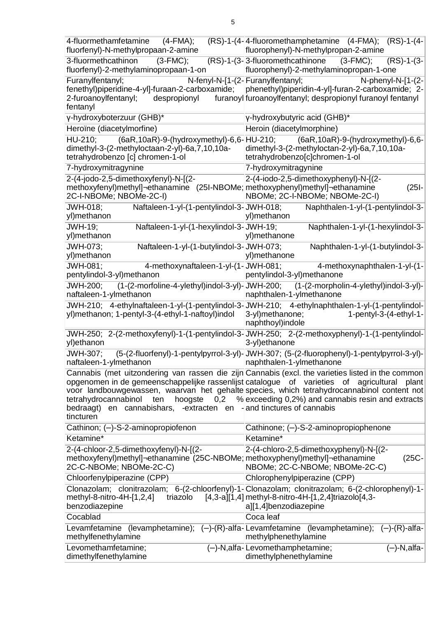| 4-fluormethamfetamine<br>$(4-FMA);$<br>fluorfenyl)-N-methylpropaan-2-amine                                                                                                                                                  | (RS)-1-(4-4-fluoromethamphetamine (4-FMA); (RS)-1-(4-<br>fluorophenyl)-N-methylpropan-2-amine                                                                                                                                                                 |
|-----------------------------------------------------------------------------------------------------------------------------------------------------------------------------------------------------------------------------|---------------------------------------------------------------------------------------------------------------------------------------------------------------------------------------------------------------------------------------------------------------|
| 3-fluormethcathinon<br>$(3-FMC);$<br>fluorfenyl)-2-methylaminopropaan-1-on                                                                                                                                                  | (RS)-1-(3-3-fluoromethcathinone (3-FMC);<br>$(RS)-1-(3-$<br>fluorophenyl)-2-methylaminopropan-1-one                                                                                                                                                           |
| Furanylfentanyl;<br>fenethyl)piperidine-4-yl]-furaan-2-carboxamide;<br>2-furoanoylfentanyl;<br>despropionyl<br>fentanyl                                                                                                     | N-fenyl-N-[1-(2- Furanylfentanyl;<br>N-phenyl-N-[1-(2-<br>phenethyl)piperidin-4-yl]-furan-2-carboxamide; 2-<br>furanoyl furoanoylfentanyl; despropionyl furanoyl fentanyl                                                                                     |
| γ-hydroxyboterzuur (GHB)*                                                                                                                                                                                                   | γ-hydroxybutyric acid (GHB)*                                                                                                                                                                                                                                  |
| Heroïne (diacetylmorfine)                                                                                                                                                                                                   | Heroin (diacetylmorphine)                                                                                                                                                                                                                                     |
| dimethyl-3-(2-methyloctaan-2-yl)-6a, 7, 10, 10a-<br>tetrahydrobenzo [c] chromen-1-ol                                                                                                                                        | HU-210; (6aR, 10aR)-9-(hydroxymethyl)-6,6-HU-210; (6aR, 10aR)-9-(hydroxymethyl)-6,6-<br>dimethyl-3-(2-methyloctan-2-yl)-6a,7,10,10a-<br>tetrahydrobenzo[c]chromen-1-ol                                                                                        |
| 7-hydroxymitragynine                                                                                                                                                                                                        | 7-hydroxymitragynine                                                                                                                                                                                                                                          |
| 2-(4-jodo-2,5-dimethoxyfenyl)-N-[(2-<br>methoxyfenyl)methyl]¬ethanamine (25I-NBOMe; methoxyphenyl)methyl]¬ethanamine<br>2C-I-NBOMe; NBOMe-2C-I)                                                                             | 2-(4-iodo-2,5-dimethoxyphenyl)-N-[(2-<br>$(25I -$<br>NBOMe; 2C-I-NBOMe; NBOMe-2C-I)                                                                                                                                                                           |
| Naftaleen-1-yl-(1-pentylindol-3-JWH-018;<br>JWH-018;<br>yl)methanon                                                                                                                                                         | Naphthalen-1-yl-(1-pentylindol-3-<br>yl)methanon                                                                                                                                                                                                              |
| <b>JWH-19;</b><br>Naftaleen-1-yl-(1-hexylindol-3-JWH-19;<br>yl)methanon                                                                                                                                                     | Naphthalen-1-yl-(1-hexylindol-3-<br>yl)methanone                                                                                                                                                                                                              |
| Naftaleen-1-yl-(1-butylindol-3-JWH-073;<br>JWH-073;<br>yl)methanon                                                                                                                                                          | Naphthalen-1-yl-(1-butylindol-3-<br>yl)methanone                                                                                                                                                                                                              |
| JWH-081;<br>4-methoxynaftaleen-1-yl-(1-JWH-081;<br>pentylindol-3-yl)methanon                                                                                                                                                | 4-methoxynaphthalen-1-yl-(1-<br>pentylindol-3-yl)methanone                                                                                                                                                                                                    |
| <b>JWH-200;</b><br>naftaleen-1-ylmethanon                                                                                                                                                                                   | (1-(2-morfoline-4-ylethyl)indol-3-yl)-JWH-200; (1-(2-morpholin-4-ylethyl)indol-3-yl)-<br>naphthalen-1-ylmethanone                                                                                                                                             |
| yl)methanon; 1-pentyl-3-(4-ethyl-1-naftoyl)indol                                                                                                                                                                            | JWH-210; 4-ethylnaftaleen-1-yl-(1-pentylindol-3-JWH-210; 4-ethylnaphthalen-1-yl-(1-pentylindol-<br>3-yl)methanone;<br>$1$ -pentyl-3- $(4$ -ethyl-1-<br>naphthoyl)indole                                                                                       |
| yl)ethanon                                                                                                                                                                                                                  | JWH-250; 2-(2-methoxyfenyl)-1-(1-pentylindol-3-JWH-250; 2-(2-methoxyphenyl)-1-(1-pentylindol-<br>3-yl)ethanone                                                                                                                                                |
| JWH-307:<br>naftaleen-1-ylmethanon                                                                                                                                                                                          | (5-(2-fluorfenyl)-1-pentylpyrrol-3-yl)-JWH-307; (5-(2-fluorophenyl)-1-pentylpyrrol-3-yl)-<br>naphthalen-1-ylmethanone                                                                                                                                         |
| opgenomen in de gemeenschappelijke rassenlijst catalogue of varieties of agricultural<br>tetrahydrocannabinol<br>hoogste<br>0,2<br>ten<br>bedraagt) en cannabishars, -extracten en - and tinctures of cannabis<br>tincturen | Cannabis (met uitzondering van rassen die zijn Cannabis (excl. the varieties listed in the common<br>plant<br>voor landbouwgewassen, waarvan het gehalte species, which tetrahydrocannabinol content not<br>% exceeding 0,2%) and cannabis resin and extracts |
| Cathinon; (-)-S-2-aminopropiofenon                                                                                                                                                                                          | Cathinone; (-)-S-2-aminopropiophenone                                                                                                                                                                                                                         |
| Ketamine*                                                                                                                                                                                                                   | Ketamine*                                                                                                                                                                                                                                                     |
| 2-(4-chloor-2,5-dimethoxyfenyl)-N-[(2-<br>methoxyfenyl)methyl]¬ethanamine (25C-NBOMe; methoxyphenyl)methyl]¬ethanamine<br>2C-C-NBOMe; NBOMe-2C-C)                                                                           | 2-(4-chloro-2,5-dimethoxyphenyl)-N-[(2-<br>$(25C -$<br>NBOMe; 2C-C-NBOMe; NBOMe-2C-C)                                                                                                                                                                         |
| Chloorfenylpiperazine (CPP)                                                                                                                                                                                                 | Chlorophenylpiperazine (CPP)                                                                                                                                                                                                                                  |
| methyl-8-nitro-4H- $[1,2,4]$<br>triazolo<br>benzodiazepine                                                                                                                                                                  | Clonazolam; clonitrazolam; 6-(2-chloorfenyl)-1-Clonazolam; clonitrazolam; 6-(2-chlorophenyl)-1-<br>$[4,3-a][1,4]$ methyl-8-nitro-4H- $[1,2,4]$ triazolo $[4,3-$<br>a][1,4]benzodiazepine                                                                      |
| Cocablad                                                                                                                                                                                                                    | Coca leaf                                                                                                                                                                                                                                                     |
| Levamfetamine (levamphetamine); (-)-(R)-alfa-Levamfetamine (levamphetamine);<br>methylfenethylamine                                                                                                                         | $(-)$ - $(R)$ -alfa-<br>methylphenethylamine                                                                                                                                                                                                                  |
| Levomethamfetamine;<br>dimethylfenethylamine                                                                                                                                                                                | (-)-N, alfa-Levomethamphetamine;<br>$(-)$ -N,alfa-<br>dimethylphenethylamine                                                                                                                                                                                  |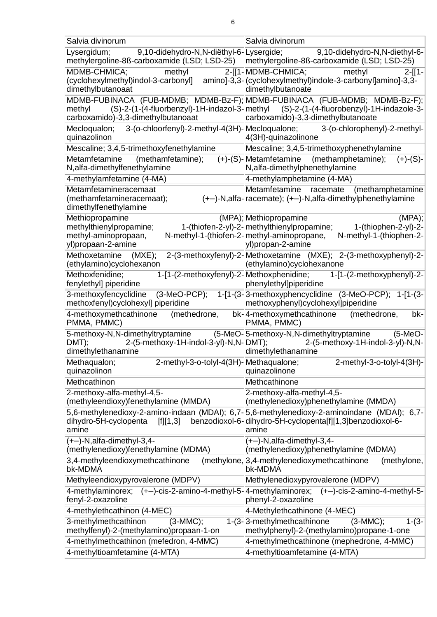| Salvia divinorum                                                                                                                                    | Salvia divinorum                                                                                                                                                                                           |
|-----------------------------------------------------------------------------------------------------------------------------------------------------|------------------------------------------------------------------------------------------------------------------------------------------------------------------------------------------------------------|
| 9,10-didehydro-N,N-diëthyl-6-Lysergide;<br>Lysergidum;<br>methylergoline-8ß-carboxamide (LSD; LSD-25)   methylergoline-8ß-carboxamide (LSD; LSD-25) | 9,10-didehydro-N,N-diethyl-6-                                                                                                                                                                              |
| MDMB-CHMICA;<br>methyl<br>(cyclohexylmethyl)indol-3-carbonyl] amino]-3,3-(cyclohexylmethyl)indole-3-carbonyl]amino]-3,3-<br>dimethylbutanoaat       | 2-[[1-MDMB-CHMICA;<br>methyl<br>$2-[1 -$<br>dimethylbutanoate                                                                                                                                              |
| methyl<br>carboxamido)-3,3-dimethylbutanoaat                                                                                                        | MDMB-FUBINACA (FUB-MDMB; MDMB-Bz-F); MDMB-FUBINACA (FUB-MDMB; MDMB-Bz-F);<br>(S)-2-(1-(4-fluorbenzyl)-1H-indazol-3-methyl (S)-2-(1-(4-fluorobenzyl)-1H-indazole-3-<br>carboxamido)-3,3-dimethylbutanoate   |
| 3-(o-chloorfenyl)-2-methyl-4(3H)- Mecloqualone;<br>Mecloqualon;<br>quinazolinon                                                                     | 3-(o-chlorophenyl)-2-methyl-<br>4(3H)-quinazolinone                                                                                                                                                        |
| Mescaline; 3,4,5-trimethoxyfenethylamine                                                                                                            | Mescaline; 3,4,5-trimethoxyphenethylamine                                                                                                                                                                  |
| Metamfetamine<br>(methamfetamine);<br>N, alfa-dimethylfenethylamine                                                                                 | (+)-(S)-Metamfetamine<br>(methamphetamine);<br>$(+)$ - $(S)$ -<br>N, alfa-dimethylphenethylamine                                                                                                           |
| 4-methylamfetamine (4-MA)                                                                                                                           | 4-methylamphetamine (4-MA)                                                                                                                                                                                 |
| Metamfetamineracemaat<br>(methamfetamineracemaat);<br>dimethylfenethylamine                                                                         | Metamfetamine racemate<br>(methamphetamine<br>$(+-)$ -N,alfa-racemate); $(+-)$ -N,alfa-dimethylphenethylamine                                                                                              |
| Methiopropamine<br>methylthienylpropamine;<br>methyl-aminopropaan,<br>yl)propaan-2-amine                                                            | (MPA); Methiopropamine<br>$(MPA)$ ;<br>$1-(thiophen-2-yl)-2-$<br>1-(thiofen-2-yl)-2- methylthienylpropamine;<br>N-methyl-1-(thiofen-2-methyl-aminopropane,<br>N-methyl-1-(thiophen-2-<br>yl)propan-2-amine |
| Methoxetamine<br>(MXE);<br>(ethylamino)cyclohexanon                                                                                                 | 2-(3-methoxyfenyl)-2-Methoxetamine (MXE); 2-(3-methoxyphenyl)-2-<br>(ethylamino)cyclohexanone                                                                                                              |
| Methoxfenidine;<br>1-[1-(2-methoxyfenyl)-2-Methoxphenidine;<br>fenylethyl] piperidine                                                               | 1-[1-(2-methoxyphenyl)-2-<br>phenylethyl]piperidine                                                                                                                                                        |
| 3-methoxyfencyclidine<br>$(3-MeO-PCP);$<br>methoxfenyl)cyclohexyl] piperidine                                                                       | 1-[1-(3-3-methoxyphencyclidine (3-MeO-PCP); 1-[1-(3-<br>methoxyphenyl)cyclohexyl]piperidine                                                                                                                |
| 4-methoxymethcathinone<br>(methedrone,<br>PMMA, PMMC)                                                                                               | bk-4-methoxymethcathinone<br>(methedrone,<br>bk-<br>PMMA, PMMC)                                                                                                                                            |
| 5-methoxy-N,N-dimethyltryptamine (5-MeO-5-methoxy-N,N-dimethyltryptamine<br>2-(5-methoxy-1H-indol-3-yl)-N,N-DMT);<br>DMT);<br>dimethylethanamine    | $(5-MeO-$<br>2-(5-methoxy-1H-indol-3-yl)-N,N-<br>dimethylethanamine                                                                                                                                        |
| 2-methyl-3-o-tolyl-4(3H)- Methaqualone;<br>Methaqualon;<br>quinazolinon                                                                             | 2-methyl-3-o-tolyl-4(3H)-<br>quinazolinone                                                                                                                                                                 |
| Methcathinon                                                                                                                                        | Methcathinone                                                                                                                                                                                              |
| 2-methoxy-alfa-methyl-4,5-<br>(methyleendioxy)fenethylamine (MMDA)                                                                                  | 2-methoxy-alfa-methyl-4,5-<br>(methylenedioxy)phenethylamine (MMDA)                                                                                                                                        |
| [f][1,3]<br>dihydro-5H-cyclopenta<br>amine                                                                                                          | 5,6-methylenedioxy-2-amino-indaan (MDAI); 6,7-5,6-methylenedioxy-2-aminoindane (MDAI); 6,7-<br>benzodioxol-6-dihydro-5H-cyclopenta[f][1,3]benzodioxol-6-<br>amine                                          |
| (+-)-N,alfa-dimethyl-3,4-<br>(methylenedioxy)fenethylamine (MDMA)                                                                                   | (+-)-N,alfa-dimethyl-3,4-<br>(methylenedioxy)phenethylamine (MDMA)                                                                                                                                         |
| 3,4-methyleendioxymethcathinone<br>bk-MDMA                                                                                                          | (methylone, 3,4-methylenedioxymethcathinone<br>(methylone,<br>bk-MDMA                                                                                                                                      |
| Methyleendioxypyrovalerone (MDPV)                                                                                                                   | Methylenedioxypyrovalerone (MDPV)                                                                                                                                                                          |
| fenyl-2-oxazoline                                                                                                                                   | 4-methylaminorex; (+-)-cis-2-amino-4-methyl-5-4-methylaminorex; (+-)-cis-2-amino-4-methyl-5-<br>phenyl-2-oxazoline                                                                                         |
| 4-methylethcathinon (4-MEC)                                                                                                                         | 4-Methylethcathinone (4-MEC)                                                                                                                                                                               |
| 3-methylmethcathinon<br>$(3-MMC);$<br>methylfenyl)-2-(methylamino)propaan-1-on                                                                      | 1-(3-3-methylmethcathinone<br>$(3-MMC)$ ;<br>$1-(3-$<br>methylphenyl)-2-(methylamino)propane-1-one                                                                                                         |
| 4-methylmethcathinon (mefedron, 4-MMC)                                                                                                              | 4-methylmethcathinone (mephedrone, 4-MMC)                                                                                                                                                                  |
| 4-methyltioamfetamine (4-MTA)                                                                                                                       | 4-methyltioamfetamine (4-MTA)                                                                                                                                                                              |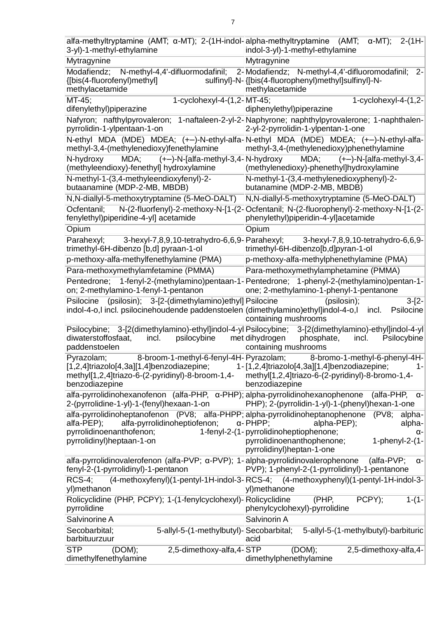| alfa-methyltryptamine (AMT; $\alpha$ -MT); 2-(1H-indol-alpha-methyltryptamine (AMT; $\alpha$ -MT);<br>3-yl)-1-methyl-ethylamine                                                      | $2-(1H -$<br>indol-3-yl)-1-methyl-ethylamine                                                                                                                                                     |
|--------------------------------------------------------------------------------------------------------------------------------------------------------------------------------------|--------------------------------------------------------------------------------------------------------------------------------------------------------------------------------------------------|
| Mytragynine                                                                                                                                                                          | Mytragynine                                                                                                                                                                                      |
| N-methyl-4,4'-difluormodafinil;<br>Modafiendz;<br>{[bis(4-fluorofenyl)methyl]<br>methylacetamide                                                                                     | 2-Modafiendz; N-methyl-4,4'-difluoromodafinil;<br>$2 -$<br>sulfinyl}-N-{[bis(4-fluorophenyl)methyl]sulfinyl}-N-<br>methylacetamide                                                               |
| MT-45;<br>1-cyclohexyl-4-(1,2-MT-45;<br>difenylethyl)piperazine                                                                                                                      | 1-cyclohexyl-4- $(1,2-$<br>diphenylethyl)piperazine                                                                                                                                              |
| pyrrolidin-1-ylpentaan-1-on                                                                                                                                                          | Nafyron; nafthylpyrovaleron; 1-naftaleen-2-yl-2-Naphyrone; naphthylpyrovalerone; 1-naphthalen-<br>2-yl-2-pyrrolidin-1-ylpentan-1-one                                                             |
| methyl-3,4-(methylenedioxy)fenethylamine                                                                                                                                             | N-ethyl MDA (MDE) MDEA; (+-)-N-ethyl-alfa-N-ethyl MDA (MDE) MDEA; (+-)-N-ethyl-alfa-<br>methyl-3,4-(methylenedioxy)phenethylamine                                                                |
| MDA; (+-)-N-[alfa-methyl-3,4-N-hydroxy<br>N-hydroxy<br>(methyleendioxy)-fenethyl] hydroxylamine                                                                                      | MDA; $(+-)$ -N-[alfa-methyl-3,4-<br>(methylenedioxy)-phenethyl]hydroxylamine                                                                                                                     |
| N-methyl-1-(3,4-methyleendioxyfenyl)-2-<br>butaanamine (MDP-2-MB, MBDB)                                                                                                              | N-methyl-1-(3,4-methylenedioxyphenyl)-2-<br>butanamine (MDP-2-MB, MBDB)                                                                                                                          |
| N, N-diallyl-5-methoxytryptamine (5-MeO-DALT)                                                                                                                                        | N, N-diallyl-5-methoxytryptamine (5-MeO-DALT)                                                                                                                                                    |
| Ocfentanil:<br>fenylethyl)piperidine-4-yl] acetamide                                                                                                                                 | N-(2-fluorfenyl)-2-methoxy-N-[1-(2-Ocfentanil; N-(2-fluorophenyl)-2-methoxy-N-[1-(2-<br>phenylethyl)piperidin-4-yl]acetamide                                                                     |
| Opium                                                                                                                                                                                | Opium                                                                                                                                                                                            |
| Parahexyl;<br>trimethyl-6H-dibenzo [b,d] pyraan-1-ol                                                                                                                                 | 3-hexyl-7,8,9,10-tetrahydro-6,6,9-Parahexyl; 3-hexyl-7,8,9,10-tetrahydro-6,6,9-<br>trimethyl-6H-dibenzo[b,d]pyran-1-ol                                                                           |
| p-methoxy-alfa-methylfenethylamine (PMA)                                                                                                                                             | p-methoxy-alfa-methylphenethylamine (PMA)                                                                                                                                                        |
| Para-methoxymethylamfetamine (PMMA)                                                                                                                                                  | Para-methoxymethylamphetamine (PMMA)                                                                                                                                                             |
| on; 2-methylamino-1-fenyl-1-pentanon                                                                                                                                                 | Pentedrone; 1-fenyl-2-(methylamino)pentaan-1-Pentedrone; 1-phenyl-2-(methylamino)pentan-1-<br>one; 2-methylamino-1-phenyl-1-pentanone                                                            |
| (psilosin); 3-[2-(dimethylamino)ethyl] Psilocine<br>Psilocine<br>indol-4-o,l incl. psilocinehoudende paddenstoelen (dimethylamino)ethyl]indol-4-o,l                                  | (psilosin);<br>$3-[2-$<br>incl.<br>Psilocine<br>containing mushrooms                                                                                                                             |
| diwaterstoffosfaat,<br>incl.<br>psilocybine met dihydrogen<br>paddenstoelen                                                                                                          | Psilocybine; 3-[2(dimethylamino)-ethyl]indol-4-yl Psilocybine; 3-[2(dimethylamino)-ethyl]indol-4-yl<br>Psilocybine<br>phosphate,<br>incl.<br>containing mushrooms                                |
| Pyrazolam;<br>[1,2,4]triazolo[4,3a][1,4]benzodiazepine;<br>methyl[1,2,4]triazo-6-(2-pyridinyl)-8-broom-1,4-<br>benzodiazepine                                                        | 8-broom-1-methyl-6-fenyl-4H-Pyrazolam; 8-bromo-1-methyl-6-phenyl-4H-<br>1-[1,2,4]triazolo[4,3a][1,4]benzodiazepine;<br>1 -<br>methyl[1,2,4]triazo-6-(2-pyridinyl)-8-bromo-1,4-<br>benzodiazepine |
| $alfa$ -pyrrolidinohexanofenon (alfa-PHP, $\alpha$ -PHP); alpha-pyrrolidinohexanophenone<br>2-(pyrrolidine-1-yl)-1-(fenyl)hexaan-1-on                                                | (alfa-PHP,<br>α-<br>PHP); 2-(pyrrolidin-1-yl)-1-(phenyl)hexan-1-one                                                                                                                              |
| alfa-pyrrolidinoheptanofenon (PV8; alfa-PHPP; alpha-pyrrolidinoheptanophenone<br>alfa-pyrrolidinoheptiofenon;<br>alfa-PEP);<br>pyrrolidinoenanthofenon;<br>pyrrolidinyl)heptaan-1-on | (PV8;<br>alpha-<br>$\alpha$ -PHPP;<br>alpha-PEP);<br>alpha-<br>1-fenyl-2-(1-pyrrolidinoheptiophenone;<br>α-<br>pyrrolidinoenanthophenone;<br>$1$ -phenyl-2- $(1 -$<br>pyrrolidinyl)heptan-1-one  |
| alfa-pyrrolidinovalerofenon (alfa-PVP; α-PVP); 1-alpha-pyrrolidinovalerophenone<br>fenyl-2-(1-pyrrolidinyl)-1-pentanon                                                               | $(alfa$ -PVP;<br>α-<br>PVP); 1-phenyl-2-(1-pyrrolidinyl)-1-pentanone                                                                                                                             |
| (4-methoxyfenyl)(1-pentyl-1H-indol-3-RCS-4;<br>RCS-4:<br>yl)methanon                                                                                                                 | (4-methoxyphenyl)(1-pentyl-1H-indol-3-<br>yl)methanone                                                                                                                                           |
| Rolicyclidine (PHP, PCPY); 1-(1-fenylcyclohexyl)- Rolicyclidine<br>pyrrolidine                                                                                                       | PCPY);<br>(PHP,<br>$1-(1-$<br>phenylcyclohexyl)-pyrrolidine                                                                                                                                      |
| Salvinorine A                                                                                                                                                                        | Salvinorin A                                                                                                                                                                                     |
| Secobarbital;<br>5-allyl-5-(1-methylbutyl)- Secobarbital;<br>barbituurzuur                                                                                                           | 5-allyl-5-(1-methylbutyl)-barbituric<br>acid                                                                                                                                                     |
| <b>STP</b><br>2,5-dimethoxy-alfa, 4-STP<br>(DOM);<br>dimethylfenethylamine                                                                                                           | (DOM);<br>2,5-dimethoxy-alfa,4-<br>dimethylphenethylamine                                                                                                                                        |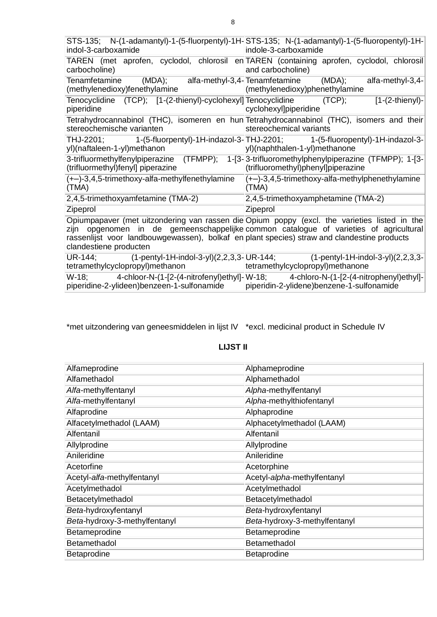| indol-3-carboxamide                                                                                                                       | STS-135; N-(1-adamantyl)-1-(5-fluorpentyl)-1H-STS-135; N-(1-adamantyl)-1-(5-fluoropentyl)-1H-<br>indole-3-carboxamide                                                            |
|-------------------------------------------------------------------------------------------------------------------------------------------|----------------------------------------------------------------------------------------------------------------------------------------------------------------------------------|
| carbocholine)                                                                                                                             | TAREN (met aprofen, cyclodol, chlorosil en TAREN (containing aprofen, cyclodol, chlorosil<br>and carbocholine)                                                                   |
| Tenamfetamine<br>(methylenedioxy)fenethylamine                                                                                            | (MDA); alfa-methyl-3,4-Tenamfetamine (MDA);<br>alfa-methyl-3,4-<br>(methylenedioxy)phenethylamine                                                                                |
| Tenocyclidine (TCP); [1-(2-thienyl)-cyclohexyl] Tenocyclidine (TCP);<br>piperidine                                                        | $[1-(2-thienyl)-$<br>cyclohexyl]piperidine                                                                                                                                       |
| stereochemische varianten                                                                                                                 | Tetrahydrocannabinol (THC), isomeren en hun Tetrahydrocannabinol (THC), isomers and their<br>stereochemical variants                                                             |
| yl)(naftaleen-1-yl)methanon                                                                                                               | THJ-2201; 1-(5-fluorpentyl)-1H-indazol-3-THJ-2201; 1-(5-fluoropentyl)-1H-indazol-3-<br>yl)(naphthalen-1-yl)methanone                                                             |
| (trifluormethyl)fenyl] piperazine                                                                                                         | 3-trifluormethylfenylpiperazine (TFMPP); 1-[3-3-trifluoromethylphenylpiperazine (TFMPP); 1-[3-<br>(trifluoromethyl)phenyl]piperazine                                             |
| (+-)-3,4,5-trimethoxy-alfa-methylfenethylamine<br>(TMA)                                                                                   | $(+-)$ -3,4,5-trimethoxy-alfa-methylphenethylamine<br>(TMA)                                                                                                                      |
| 2,4,5-trimethoxyamfetamine (TMA-2)                                                                                                        | 2,4,5-trimethoxyamphetamine (TMA-2)                                                                                                                                              |
| Zipeprol                                                                                                                                  | Zipeprol                                                                                                                                                                         |
| zijn<br>rassenlijst voor landbouwgewassen), bolkaf en plant species) straw and clandestine products<br>clandestiene producten             | Opiumpapaver (met uitzondering van rassen die Opium poppy (excl. the varieties listed in the<br>opgenomen in de gemeenschappelijke common catalogue of varieties of agricultural |
| UR-144;<br>tetramethylcyclopropyl)methanon                                                                                                | $(1-pentyl-1H-indol-3-yl)(2,2,3,3-lUR-144;$ $(1-pentyl-1H-indol-3-yl)(2,2,3,3-lUR-144;$<br>tetramethylcyclopropyl)methanone                                                      |
| W-18; 4-chloor-N-(1-[2-(4-nitrofenyl)ethyl]-W-18;<br>piperidine-2-ylideen)benzeen-1-sulfonamide piperidin-2-ylidene)benzene-1-sulfonamide | 4-chloro-N-(1-[2-(4-nitrophenyl)ethyl]-                                                                                                                                          |

\*met uitzondering van geneesmiddelen in lijst IV \*excl. medicinal product in Schedule IV

# **LIJST II**

| Alfameprodine                 | Alphameprodine                |
|-------------------------------|-------------------------------|
| Alfamethadol                  | Alphamethadol                 |
| Alfa-methylfentanyl           | Alpha-methylfentanyl          |
| Alfa-methylfentanyl           | Alpha-methylthiofentanyl      |
| Alfaprodine                   | Alphaprodine                  |
| Alfacetylmethadol (LAAM)      | Alphacetylmethadol (LAAM)     |
| Alfentanil                    | Alfentanil                    |
| Allylprodine                  | Allylprodine                  |
| Anileridine                   | Anileridine                   |
| Acetorfine                    | Acetorphine                   |
| Acetyl-alfa-methylfentanyl    | Acetyl-alpha-methylfentanyl   |
| Acetylmethadol                | Acetylmethadol                |
| Betacetylmethadol             | Betacetylmethadol             |
| Beta-hydroxyfentanyl          | Beta-hydroxyfentanyl          |
| Beta-hydroxy-3-methylfentanyl | Beta-hydroxy-3-methylfentanyl |
| Betameprodine                 | Betameprodine                 |
| Betamethadol                  | Betamethadol                  |
| <b>Betaprodine</b>            | <b>Betaprodine</b>            |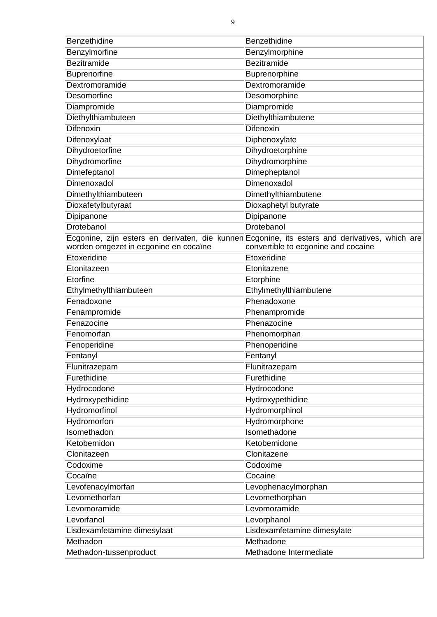| Benzethidine                          | Benzethidine                                                                                   |
|---------------------------------------|------------------------------------------------------------------------------------------------|
| Benzylmorfine                         | Benzylmorphine                                                                                 |
| <b>Bezitramide</b>                    | Bezitramide                                                                                    |
| <b>Buprenorfine</b>                   | Buprenorphine                                                                                  |
| Dextromoramide                        | Dextromoramide                                                                                 |
| Desomorfine                           | Desomorphine                                                                                   |
| Diampromide                           | Diampromide                                                                                    |
| Diethylthiambuteen                    | Diethylthiambutene                                                                             |
| Difenoxin                             | <b>Difenoxin</b>                                                                               |
| Difenoxylaat                          | Diphenoxylate                                                                                  |
| Dihydroetorfine                       | Dihydroetorphine                                                                               |
| Dihydromorfine                        | Dihydromorphine                                                                                |
| Dimefeptanol                          | Dimepheptanol                                                                                  |
| Dimenoxadol                           | Dimenoxadol                                                                                    |
| Dimethylthiambuteen                   | Dimethylthiambutene                                                                            |
| Dioxafetylbutyraat                    | Dioxaphetyl butyrate                                                                           |
| Dipipanone                            | Dipipanone                                                                                     |
| Drotebanol                            | Drotebanol                                                                                     |
|                                       | Ecgonine, zijn esters en derivaten, die kunnen Ecgonine, its esters and derivatives, which are |
| worden omgezet in ecgonine en cocaïne | convertible to ecgonine and cocaine                                                            |
| Etoxeridine                           | Etoxeridine                                                                                    |
| Etonitazeen                           | Etonitazene                                                                                    |
| Etorfine                              | Etorphine                                                                                      |
| Ethylmethylthiambuteen                | Ethylmethylthiambutene                                                                         |
| Fenadoxone                            | Phenadoxone                                                                                    |
| Fenampromide                          | Phenampromide                                                                                  |
| Fenazocine                            | Phenazocine                                                                                    |
| Fenomorfan                            | Phenomorphan                                                                                   |
| Fenoperidine                          | Phenoperidine                                                                                  |
| Fentanyl                              | Fentanyl                                                                                       |
| Flunitrazepam                         | Flunitrazepam                                                                                  |
| Furethidine                           | Furethidine                                                                                    |
| Hydrocodone                           | Hydrocodone                                                                                    |
| Hydroxypethidine                      | Hydroxypethidine                                                                               |
| Hydromorfinol                         | Hydromorphinol                                                                                 |
| Hydromorfon                           | Hydromorphone                                                                                  |
| Isomethadon                           | Isomethadone                                                                                   |
| Ketobemidon                           | Ketobemidone                                                                                   |
| Clonitazeen                           | Clonitazene                                                                                    |
| Codoxime                              | Codoxime                                                                                       |
| Cocaïne                               | Cocaine                                                                                        |
| Levofenacylmorfan                     | Levophenacylmorphan                                                                            |
| Levomethorfan                         | Levomethorphan                                                                                 |
| Levomoramide                          | Levomoramide                                                                                   |
| Levorfanol                            | Levorphanol                                                                                    |
| Lisdexamfetamine dimesylaat           | Lisdexamfetamine dimesylate                                                                    |
|                                       | Methadone                                                                                      |
| Methadon                              |                                                                                                |
| Methadon-tussenproduct                | Methadone Intermediate                                                                         |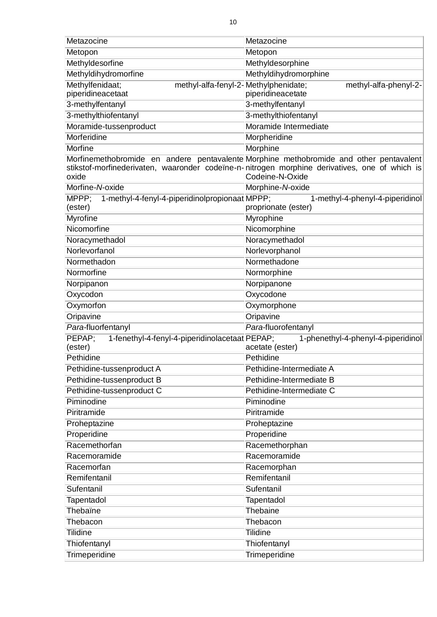| Metazocine                                                                   | Metazocine                                                                                                                                                                                                 |
|------------------------------------------------------------------------------|------------------------------------------------------------------------------------------------------------------------------------------------------------------------------------------------------------|
| Metopon                                                                      | Metopon                                                                                                                                                                                                    |
| Methyldesorfine                                                              | Methyldesorphine                                                                                                                                                                                           |
| Methyldihydromorfine                                                         | Methyldihydromorphine                                                                                                                                                                                      |
| Methylfenidaat;<br>methyl-alfa-fenyl-2-Methylphenidate;<br>piperidineacetaat | methyl-alfa-phenyl-2-<br>piperidineacetate                                                                                                                                                                 |
| 3-methylfentanyl                                                             | 3-methylfentanyl                                                                                                                                                                                           |
| 3-methylthiofentanyl                                                         | 3-methylthiofentanyl                                                                                                                                                                                       |
| Moramide-tussenproduct                                                       | Moramide Intermediate                                                                                                                                                                                      |
| Morferidine                                                                  | Morpheridine                                                                                                                                                                                               |
| <b>Morfine</b>                                                               | <b>Morphine</b>                                                                                                                                                                                            |
| oxide                                                                        | Morfinemethobromide en andere pentavalente Morphine methobromide and other pentavalent<br>stikstof-morfinederivaten, waaronder codeïne-n-nitrogen morphine derivatives, one of which is<br>Codeine-N-Oxide |
| Morfine-N-oxide                                                              | Morphine-N-oxide                                                                                                                                                                                           |
| 1-methyl-4-fenyl-4-piperidinolpropionaat MPPP;<br>MPPP;                      | 1-methyl-4-phenyl-4-piperidinol                                                                                                                                                                            |
| (ester)                                                                      | proprionate (ester)                                                                                                                                                                                        |
| <b>Myrofine</b>                                                              | <b>Myrophine</b>                                                                                                                                                                                           |
| Nicomorfine                                                                  | Nicomorphine                                                                                                                                                                                               |
| Noracymethadol                                                               | Noracymethadol                                                                                                                                                                                             |
| Norlevorfanol                                                                | Norlevorphanol                                                                                                                                                                                             |
| Normethadon                                                                  | Normethadone                                                                                                                                                                                               |
| Normorfine                                                                   | Normorphine                                                                                                                                                                                                |
| Norpipanon                                                                   | Norpipanone                                                                                                                                                                                                |
| Oxycodon                                                                     | Oxycodone                                                                                                                                                                                                  |
| Oxymorfon                                                                    | Oxymorphone                                                                                                                                                                                                |
| Oripavine                                                                    | Oripavine                                                                                                                                                                                                  |
| Para-fluorfentanyl                                                           | Para-fluorofentanyl                                                                                                                                                                                        |
| 1-fenethyl-4-fenyl-4-piperidinolacetaat PEPAP;<br>PEPAP;                     | 1-phenethyl-4-phenyl-4-piperidinol                                                                                                                                                                         |
| (ester)                                                                      | acetate (ester)<br>Pethidine                                                                                                                                                                               |
| Pethidine                                                                    | Pethidine-Intermediate A                                                                                                                                                                                   |
| Pethidine-tussenproduct A                                                    |                                                                                                                                                                                                            |
| Pethidine-tussenproduct B                                                    | Pethidine-Intermediate B                                                                                                                                                                                   |
| Pethidine-tussenproduct C<br>Piminodine                                      | Pethidine-Intermediate C<br>Piminodine                                                                                                                                                                     |
|                                                                              |                                                                                                                                                                                                            |
| Piritramide                                                                  | Piritramide                                                                                                                                                                                                |
| Proheptazine<br>Properidine                                                  | Proheptazine                                                                                                                                                                                               |
| Racemethorfan                                                                | Properidine                                                                                                                                                                                                |
| Racemoramide                                                                 | Racemethorphan<br>Racemoramide                                                                                                                                                                             |
| Racemorfan                                                                   |                                                                                                                                                                                                            |
| Remifentanil                                                                 | Racemorphan<br>Remifentanil                                                                                                                                                                                |
| Sufentanil                                                                   | Sufentanil                                                                                                                                                                                                 |
|                                                                              |                                                                                                                                                                                                            |
| Tapentadol<br>Thebaïne                                                       | <b>Tapentadol</b><br>Thebaine                                                                                                                                                                              |
| Thebacon                                                                     | Thebacon                                                                                                                                                                                                   |
|                                                                              |                                                                                                                                                                                                            |
| <b>Tilidine</b>                                                              | <b>Tilidine</b>                                                                                                                                                                                            |
| Thiofentanyl                                                                 | Thiofentanyl                                                                                                                                                                                               |
| Trimeperidine                                                                | Trimeperidine                                                                                                                                                                                              |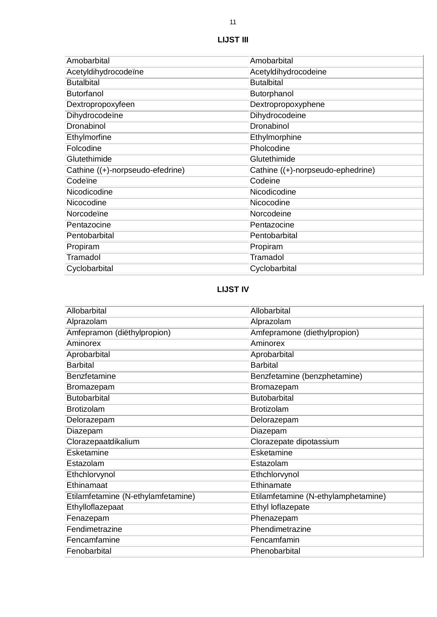| Amobarbital                      | Amobarbital                       |
|----------------------------------|-----------------------------------|
| Acetyldihydrocodeïne             | Acetyldihydrocodeine              |
| <b>Butalbital</b>                | <b>Butalbital</b>                 |
| <b>Butorfanol</b>                | Butorphanol                       |
| Dextropropoxyfeen                | Dextropropoxyphene                |
| Dihydrocodeïne                   | Dihydrocodeine                    |
| Dronabinol                       | Dronabinol                        |
| Ethylmorfine                     | Ethylmorphine                     |
| Folcodine                        | Pholcodine                        |
| Glutethimide                     | Glutethimide                      |
| Cathine ((+)-norpseudo-efedrine) | Cathine ((+)-norpseudo-ephedrine) |
| Codeïne                          | Codeine                           |
| Nicodicodine                     | Nicodicodine                      |
| Nicocodine                       | Nicocodine                        |
| Norcodeïne                       | Norcodeine                        |
| Pentazocine                      | Pentazocine                       |
| Pentobarbital                    | Pentobarbital                     |
| Propiram                         | Propiram                          |
| Tramadol                         | Tramadol                          |
| Cyclobarbital                    | Cyclobarbital                     |

# **LIJST IV**

| Allobarbital                       | Allobarbital                        |
|------------------------------------|-------------------------------------|
| Alprazolam                         | Alprazolam                          |
| Amfepramon (diëthylpropion)        | Amfepramone (diethylpropion)        |
| Aminorex                           | Aminorex                            |
| Aprobarbital                       | Aprobarbital                        |
| <b>Barbital</b>                    | <b>Barbital</b>                     |
| Benzfetamine                       | Benzfetamine (benzphetamine)        |
| Bromazepam                         | Bromazepam                          |
| <b>Butobarbital</b>                | <b>Butobarbital</b>                 |
| <b>Brotizolam</b>                  | <b>Brotizolam</b>                   |
| Delorazepam                        | Delorazepam                         |
| Diazepam                           | Diazepam                            |
| Clorazepaatdikalium                | Clorazepate dipotassium             |
| Esketamine                         | Esketamine                          |
| Estazolam                          | Estazolam                           |
| Ethchlorvynol                      | Ethchlorvynol                       |
| Ethinamaat                         | Ethinamate                          |
| Etilamfetamine (N-ethylamfetamine) | Etilamfetamine (N-ethylamphetamine) |
| Ethylloflazepaat                   | Ethyl loflazepate                   |
| Fenazepam                          | Phenazepam                          |
| Fendimetrazine                     | Phendimetrazine                     |
| Fencamfamine                       | Fencamfamin                         |
| Fenobarbital                       | Phenobarbital                       |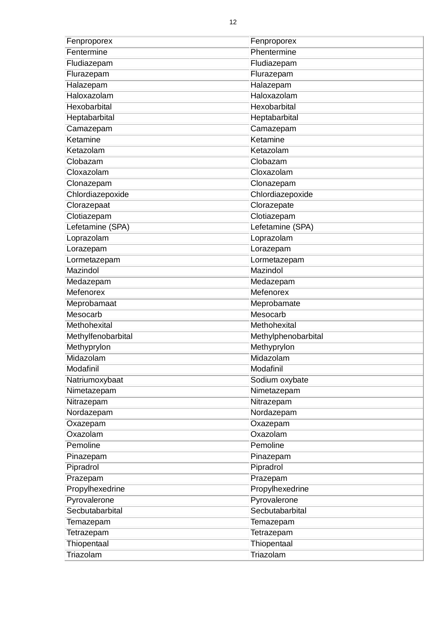| Fenproporex        | Fenproporex         |
|--------------------|---------------------|
| Fentermine         | Phentermine         |
| Fludiazepam        | Fludiazepam         |
| Flurazepam         | Flurazepam          |
| Halazepam          | Halazepam           |
| Haloxazolam        | Haloxazolam         |
| Hexobarbital       | Hexobarbital        |
| Heptabarbital      | Heptabarbital       |
| Camazepam          | Camazepam           |
| Ketamine           | Ketamine            |
| Ketazolam          | Ketazolam           |
| Clobazam           | Clobazam            |
| Cloxazolam         | Cloxazolam          |
| Clonazepam         | Clonazepam          |
| Chlordiazepoxide   | Chlordiazepoxide    |
| Clorazepaat        | Clorazepate         |
| Clotiazepam        | Clotiazepam         |
| Lefetamine (SPA)   | Lefetamine (SPA)    |
| Loprazolam         | Loprazolam          |
| Lorazepam          | Lorazepam           |
| Lormetazepam       | Lormetazepam        |
| Mazindol           | Mazindol            |
| Medazepam          | Medazepam           |
| Mefenorex          | Mefenorex           |
| Meprobamaat        | Meprobamate         |
| Mesocarb           | Mesocarb            |
| Methohexital       | Methohexital        |
| Methylfenobarbital | Methylphenobarbital |
| Methyprylon        | Methyprylon         |
| Midazolam          | Midazolam           |
| Modafinil          | Modafinil           |
| Natriumoxybaat     | Sodium oxybate      |
| Nimetazepam        | Nimetazepam         |
| Nitrazepam         | Nitrazepam          |
| Nordazepam         | Nordazepam          |
| Oxazepam           | Oxazepam            |
| Oxazolam           | Oxazolam            |
| Pemoline           | Pemoline            |
| Pinazepam          | Pinazepam           |
| Pipradrol          | Pipradrol           |
| Prazepam           | Prazepam            |
| Propylhexedrine    | Propylhexedrine     |
| Pyrovalerone       | Pyrovalerone        |
| Secbutabarbital    | Secbutabarbital     |
| Temazepam          | Temazepam           |
| Tetrazepam         | Tetrazepam          |
| Thiopentaal        | Thiopentaal         |
| Triazolam          | Triazolam           |
|                    |                     |